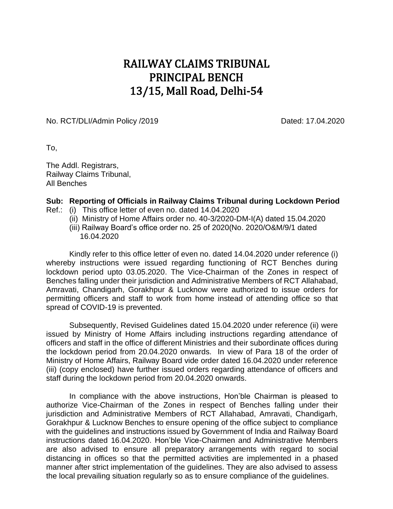## RAILWAY CLAIMS TRIBUNAL PRINCIPAL BENCH 13/15, Mall Road, Delhi-54

No. RCT/DLI/Admin Policy /2019 Dated: 17.04.2020

To,

The Addl. Registrars, Railway Claims Tribunal, All Benches

## **Sub: Reporting of Officials in Railway Claims Tribunal during Lockdown Period**

- Ref.: (i) This office letter of even no. dated 14.04.2020
	- (ii) Ministry of Home Affairs order no. 40-3/2020-DM-I(A) dated 15.04.2020
	- (iii) Railway Board's office order no. 25 of 2020(No. 2020/O&M/9/1 dated 16.04.2020

Kindly refer to this office letter of even no. dated 14.04.2020 under reference (i) whereby instructions were issued regarding functioning of RCT Benches during lockdown period upto 03.05.2020. The Vice-Chairman of the Zones in respect of Benches falling under their jurisdiction and Administrative Members of RCT Allahabad, Amravati, Chandigarh, Gorakhpur & Lucknow were authorized to issue orders for permitting officers and staff to work from home instead of attending office so that spread of COVID-19 is prevented.

Subsequently, Revised Guidelines dated 15.04.2020 under reference (ii) were issued by Ministry of Home Affairs including instructions regarding attendance of officers and staff in the office of different Ministries and their subordinate offices during the lockdown period from 20.04.2020 onwards. In view of Para 18 of the order of Ministry of Home Affairs, Railway Board vide order dated 16.04.2020 under reference (iii) (copy enclosed) have further issued orders regarding attendance of officers and staff during the lockdown period from 20.04.2020 onwards.

In compliance with the above instructions, Hon'ble Chairman is pleased to authorize Vice-Chairman of the Zones in respect of Benches falling under their jurisdiction and Administrative Members of RCT Allahabad, Amravati, Chandigarh, Gorakhpur & Lucknow Benches to ensure opening of the office subject to compliance with the guidelines and instructions issued by Government of India and Railway Board instructions dated 16.04.2020. Hon'ble Vice-Chairmen and Administrative Members are also advised to ensure all preparatory arrangements with regard to social distancing in offices so that the permitted activities are implemented in a phased manner after strict implementation of the guidelines. They are also advised to assess the local prevailing situation regularly so as to ensure compliance of the guidelines.